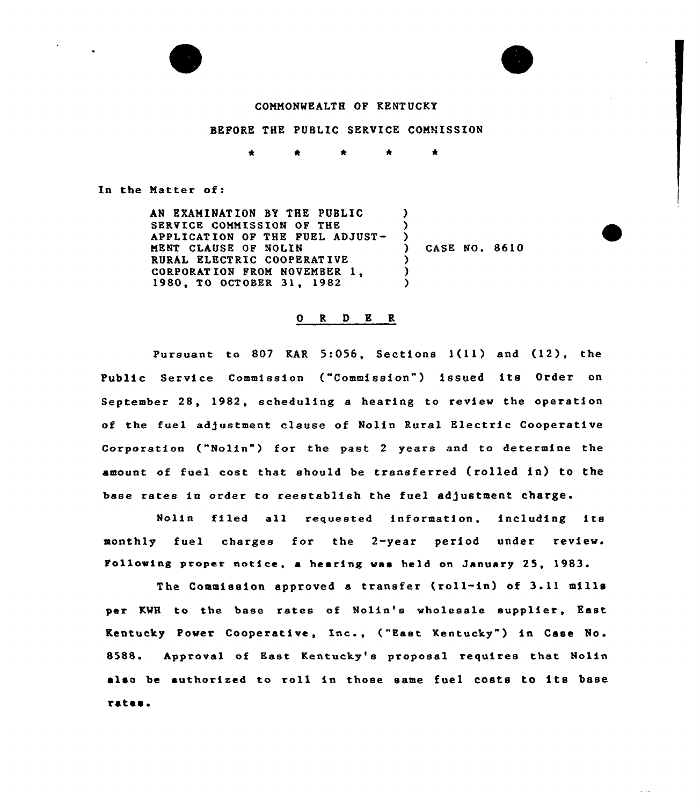

#### COMMONWEALTH OF KENT UCKY

### BEFORE THE PUBLIC SERVICE COMMISSION

 $\bullet$  $\bullet$  $\bullet$  $\bullet$ 

In the Matter of:

AN EXAMINATION BY THE PUBLIC SERVICE COMMISSION OF THE APPLICATION OF THE FUEL ADJUST-MENT CLAUSE OF NOLIN RURAL ELECTRIC COOPERAT IVE CORPORATION FROM NOVEMBER 1, 1980, TO OCTOBER 31, 1982  $\lambda$ ) )  $\lambda$ ) )

) CASE NO. 8610

 $\omega$  and

### 0 R <sup>D</sup> E R

Pursuant to <sup>807</sup> KAR 5:056, Sections l(11) and (12), the Public Service Commission ("Commission") issued its Order on September 28, 1982, scheduling a hearing to review the operation of the fuel adjustment clause of Nolin Rural Electric Cooperative Corporation ("Nolin") for the past <sup>2</sup> years and to determine the amount of fuel cost that should be transferred (rolled in) to the base rates in order to reestablish the fuel adjustment charge.

Nolin filed all requested information, including its monthly fuel charges for the 2-year period under review. Following proper notice, a hearing was held on January 25, 1983.

'he Commission approved <sup>a</sup> transfer (roll-in) of 3.11 mills per KWH to the base rates of Nolin's wholesale supplier, East Kentucky Power Cooperative, Inc., ("East Kentucky") in Case No <sup>~</sup> 8588. Approval of East Kentucky's proposal requires that Nolin also be authorised to roll in those same fuel costs to its base rates.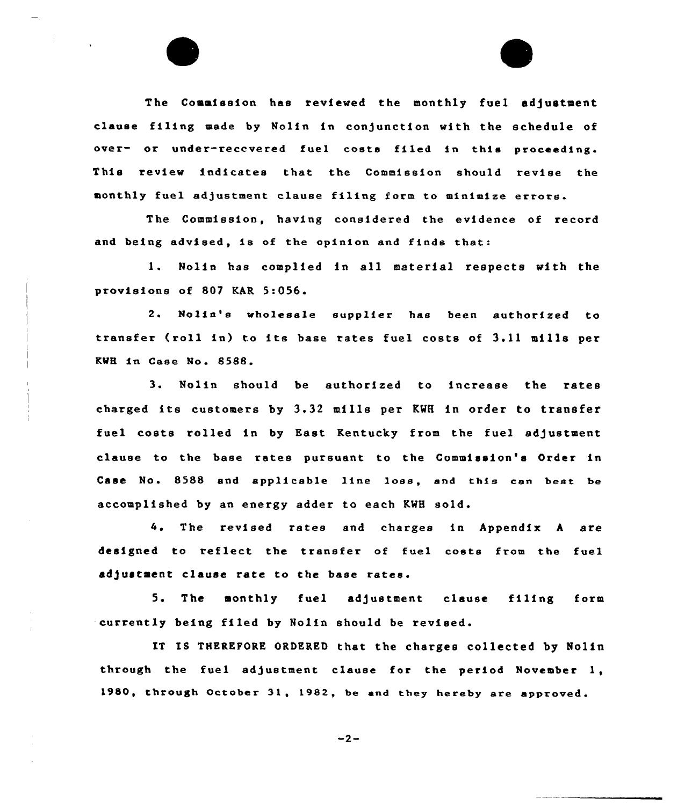The Commission has reviewed the monthly fuel adjustment clause filing made by Nolin in conjunction with the schedule of over- or under-reccvered fuel costs filed in this praceeding. This review indicates that the Commission should revise the monthly fuel adjustment clause filing form to minimize errors.

The Commission, having considered the evidence of record and being advised, is af the opinion and finds that:

1. Nolin has complied in all material respects with the provisions of 807 KAR 5:056.

<sup>2</sup> <sup>~</sup> Nolin's wholesale supplier has been authorized to transfer (roll in) to its base rates fuel costs of 3.11 mills per KWH in Case No. 8588.

3. Nolin should be authorized to increase the rates charged its customers by 3.32 mills per KWH in order to transfer fuel costs rolled in by East Kentucky from the fuel adjustment clause to the base rates pursuant to the Commission's Order in Case No. 8588 and applicable line loss, and this can best be accomplished by an energy adder to each KWH sold'.

The revised rates and charges in Appendix <sup>A</sup> are designed to reflect the transfer of fuel costs from the fuel adjustment clause rate to the base rates.

5. The monthly fuel adjustment clause filing form currently being filed by Nolin should be revised.

IT IS THEREFORE ORDERED that the charges collected by Nolin through the fuel adjustment clause for the period November 1, 1980, through October 31, 1982, be and they hereby are approved.

 $-2-$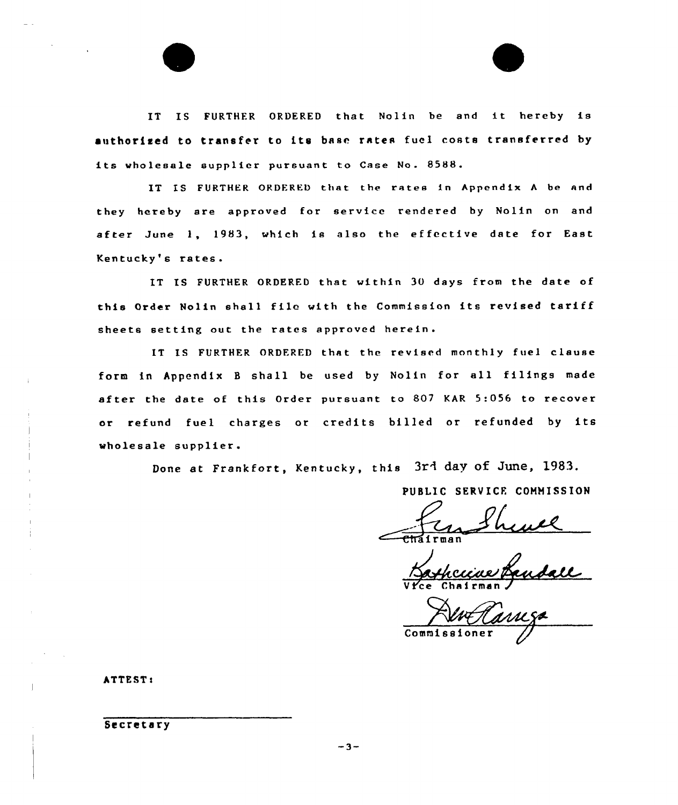IT IS FURTHER ORDERED that Nolin be and it hereby is authorized to transfer to its base rates fuel costs transferred by its wholesale supplier pursuant to Case No. 8588.

IT IS FURTHER ORDFRED that the rates in Appendix <sup>A</sup> be and they hereby are approved for service rendered by Nolin on and after June 1, 1983, which is also the effective date for East Kentucky's rates.

IT IS FURTHER ORDERED that within 30 days from the date of this Order Nolin shall file with the Commission its revised tariff sheets setting out the rates approved herein.

IT IS FURTHER ORDERED that the revised monthly fuel clause form in Appendix <sup>B</sup> shall be used by Nolin for all filings made after the date of this Order pursuant to 807 KAR 5:056 to recover or refund fuel charges or credits billed or refunded by its wholesale supplier.

Done at Frankfort, Kentucky, this 3rd day Of June, 1983.

PUBLIC SERVICE COMMISSION

Vice Chairman)

Com

ATTEST:

Secretary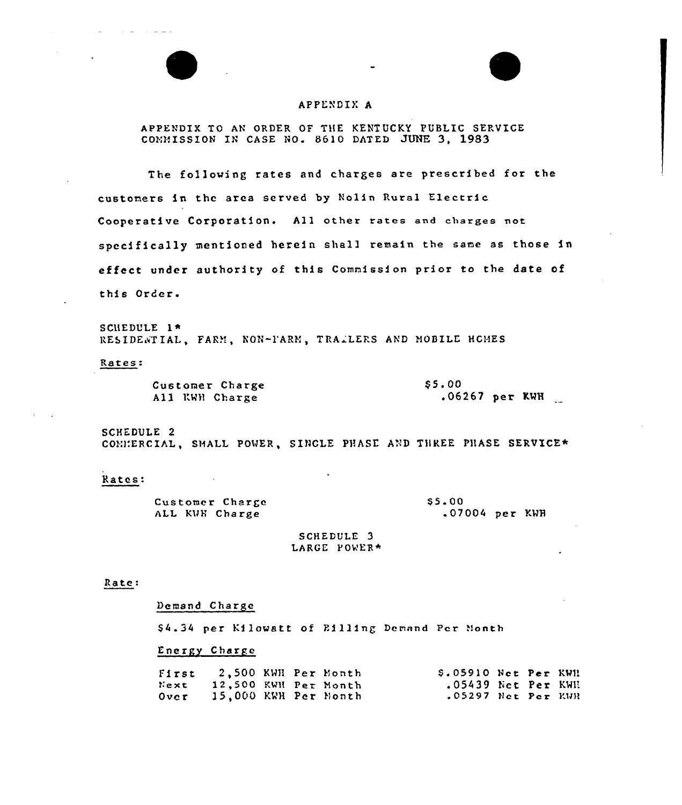## APPENDIX A

APPENDIX TO AN ORDER OF THE KENTUCKY PUBLIC SERVICE COMMISSION IN CASE NO. 8610 DATED JUNE 3, 1983

The following rates and charges are prescribed for the customers in the area served by Nolin Rural Electric Cooperative Corporation. All other rates and charges not specifically mentioned herein shall remain the same as those in effect under authority of this Commission prior to the date of this Order.

SCHEDULE 1\* RESIDENTIAL, FARM, NON-TARM, TRAILERS AND MOBILE HCMES

Rates:

 $\label{eq:2.1} \mathcal{L}(\mathcal{L}) = \mathcal{L}(\mathcal{L}) = \mathcal{L}(\mathcal{L})$ 

| Customer Charge | \$5.00           |  |  |
|-----------------|------------------|--|--|
| All KWH Charge  | $.06267$ per KWH |  |  |

SCHEDULE 2 COMMERCIAL, SMALL POWER, SINGLE PHASE AND THREE PHASE SERVICE\*

### Rates:

| Customer Charge | \$5.00           |  |
|-----------------|------------------|--|
| ALL KWK Charge  | $.07004$ per KWH |  |

SCHEDULE 3 LARGE YOWER\*

#### Rate:

### Demand Charge

\$4.34 per Kilowatt of Billing Demand Per Month

## Energy Charge

| First | 2,500 KWN Per Month       |  | $$.05910$ Net Per KWH |  |  |
|-------|---------------------------|--|-----------------------|--|--|
| Next  | 12.500 KWH Per Month      |  | $.05439$ Net Per KWH  |  |  |
|       | Over 15,000 KWH Per Month |  | .05297 Net Per KWN    |  |  |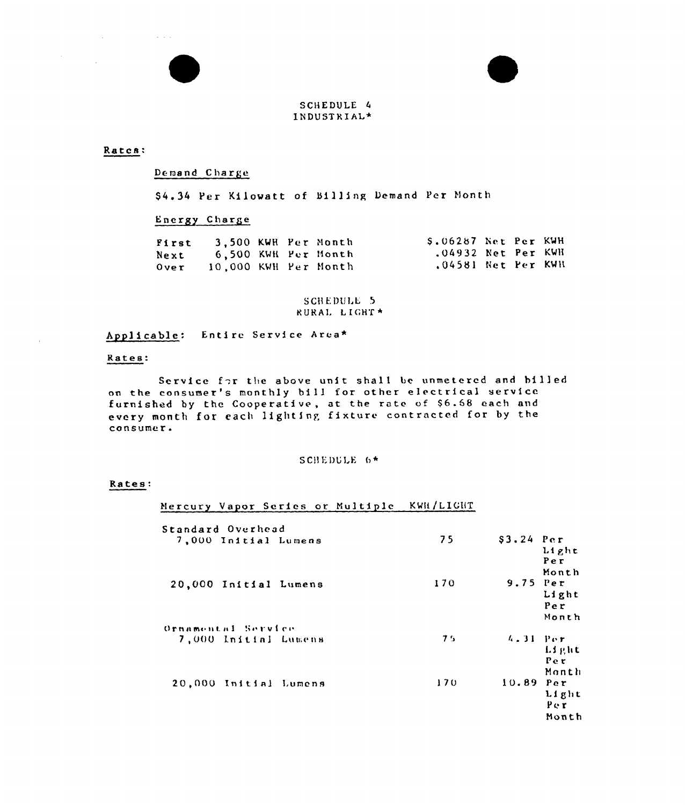### SCHEDULE 4 INDUSTRIAL\*

### Rates:

 $\mathcal{L}_{\rm{max}}$ 

 $\mathcal{L}^{\text{max}}_{\text{max}}$  and  $\mathcal{L}^{\text{max}}_{\text{max}}$ 

### Demand Charge

\$4.34 Per Kilowatt of Billing Demand Per Month

## Energy Charge

| First | 3,500 KWH Per Month  |  | S.06287 Net Per KWH |  |  |
|-------|----------------------|--|---------------------|--|--|
| Next  | 6,500 KWH Per Month  |  | .04932 Net Per KWH  |  |  |
| Over  | 10.000 KWH Per Month |  | .04581 Net Per KWH  |  |  |

SCHEDULE 5 RURAL LIGHT\*

## Applicable: Entire Service Area\*

### Rates:

Service for the above unit shall be unmetered and billed on the consumer's monthly bill for other electrical service furnished by the Cooperative, at the rate of \$6.68 each and every month for each lighting fixture contracted for by the consumer.

### SCHEDULE 6\*

### Rates:

|  |  | Mercury Vapor Series or Multiple KWH/LIGHT |
|--|--|--------------------------------------------|
|  |  |                                            |

| Standard Overhead     |     |                                      |
|-----------------------|-----|--------------------------------------|
| 7,000 Initial Lumens  | 75  | $$3.24$ Per<br>Light<br>Per<br>Month |
| 20,000 Initial Lumens | 170 | 9.75 Per<br>Light<br>Per<br>Month    |
| Ornamental Service    |     |                                      |
| 7,000 Initial Lumens  | 75  | $4.31$ Per<br>Light<br>Per<br>Month  |
| 20,000 Initial Lumens | 170 | $10.89$ Per<br>Light<br>Per<br>Month |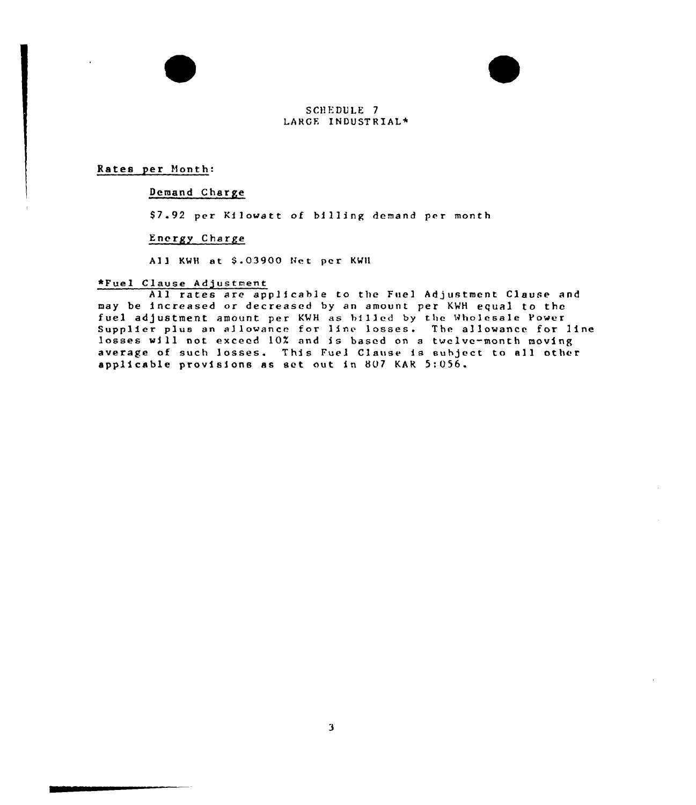



### SCHEDULE 7 LARGE INDUSTRIAL\*

## Rates per Month:

## Demand Charge

S7.92 per Kilowatt of billing demand per month

### Energy Charge

All KWH at \$.03900 Net per KWH

## \*Fuel Clause Adjustmen

All rates are applicable to the Fuel Adjustment Clause and may be incr eased or decreased by an amount per KWH equal to the fuel adjust ment amount per KWH as billed by the Wholesale Power supplier plus an allowance for line losses. The allowance for line<br>losses will not exceed 10% and is based on a twelve-month moving iosses will not exceed 10% and is based on a twelve-month moving<br>average of such losses. This Fuel Clause is subject to all other<br>applicable provisions as set out in 807 KAR 5:056. applicable provisions as sct out in 807 KAR a twclvc-month moving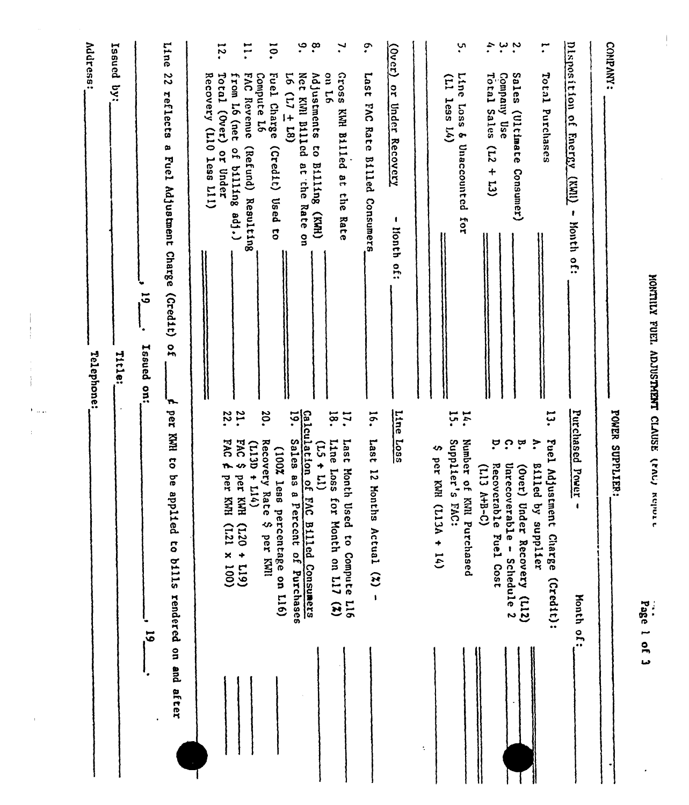|                        | $\lambda_{\rm{max}}$                                                                                                              | Address:<br>Telephone:                                                                                   |
|------------------------|-----------------------------------------------------------------------------------------------------------------------------------|----------------------------------------------------------------------------------------------------------|
|                        |                                                                                                                                   | Issued by:<br>Title:                                                                                     |
| $\overline{5}$         |                                                                                                                                   | $\overline{5}$<br>Issued on:                                                                             |
|                        | per KWI to<br>be applied to bills rendered on and after                                                                           | Line<br>22<br>reflects<br>$\bullet$<br>Fuel Adjustment Charge<br>(cred1t)<br>$\frac{1}{2}$<br>'n,        |
|                        |                                                                                                                                   | 12.<br>Total (Over)<br>Recovery (L10 less L11)<br>or Under                                               |
|                        | <b>21.</b><br>22.<br><b>DAT</b><br><b>EAC</b><br>$\bullet$<br>$\overline{r}$<br>per KMH<br>per KWH<br>$(120 + 19)$<br>(121 × 100) | $\prod_{i=1}^{n}$<br>FAC Revenue<br>from L6 (net<br>$\frac{1}{6}$<br>(Refund) Resulting<br>billing adj.) |
|                        | 20.<br>Recovery Rate<br>Q(113)<br>(100% less percentage on L16)<br>$+114)$<br>\$ per KWI                                          | $\overline{Q}$<br>Compute 16<br>Fuel Charge<br>(Credit)<br>Used to                                       |
|                        | Calculation of FAC<br>$\ddot{\phantom{0}}$<br>Sales as a Percent of Purchases                                                     | $\mathbf{9}$<br>51<br>Net KWI Billed at the Rate on<br>$(87 + 17)$                                       |
|                        | 50<br>$\frac{1}{2}$<br>Billed Consumers                                                                                           | $\cdot^{\infty}$<br>Adjustments<br>to Billing (KWH)                                                      |
|                        | 18.<br>$\mathbf{L}$<br>Line<br><b>Last</b><br><b>Loss</b><br><b>Honth Us</b><br>for<br>ed to Compute L16<br>Month on L17 (2)      | $\mathbf{v}$<br>97 no<br><b>Gross</b><br>KWI Billed at<br>the Rate                                       |
|                        | 16.<br>last<br>12 Months Actual (%)<br>$\mathbf{r}$                                                                               | $\cdot$<br>Last FAC Rate Billed<br>Consumers                                                             |
|                        | Line Loss                                                                                                                         | $(0$ vcr $)$<br>$\frac{1}{2}$<br>Under<br>Recovery<br>-1<br>lionth of:                                   |
| ÷                      |                                                                                                                                   |                                                                                                          |
|                        | 14.5.<br>Supplier's FAC:<br>Number of KNII<br>∽<br>per KWH (L13A + 14)<br>Purchased                                               | ب.<br>Line Loss & Unaccounted<br>E<br>less 14)<br>101                                                    |
|                        | $(1.13 A + B - C)$                                                                                                                | $\ddot{ }$<br>Total Sales<br>(12)<br>$+13$                                                               |
|                        | ်<br>္<br>$\mathbf{a}$<br>Unrecoverable -<br><b>Recoverab</b><br>(Over) Under Recovery (L12)<br>le Fuel Cost<br>Schedule 2        | ىب<br>$\ddot{\bm{z}}$<br>Sales<br>Company Use<br>(Ultimate<br>Consumer)                                  |
| (Cred1t):              | ֡֡׆<br>֧֢֢֢֢֢֢֢֢֧֢֢֚֚<br>Fuel Adjustment Charge<br>$\mathbf{\ddot{}}$<br>Billed by<br>anbutter                                    | $\mathbf{r}$<br>Total<br>Purchases                                                                       |
| <b>Month</b> of:       | Purchased Power<br>$\blacksquare$                                                                                                 | Disposition of Energy<br>$\overline{\text{(\text{max})}}$<br>$\pmb{\mathsf{r}}$<br>Honth of:             |
|                        | POWER SUPPLIER:                                                                                                                   | COMPANY:                                                                                                 |
| Page 1 of 3<br>$\cdot$ |                                                                                                                                   | MONTILY FUEL ADJUSTMENT CLAUSE (FAU) Keput L                                                             |

 $\big)$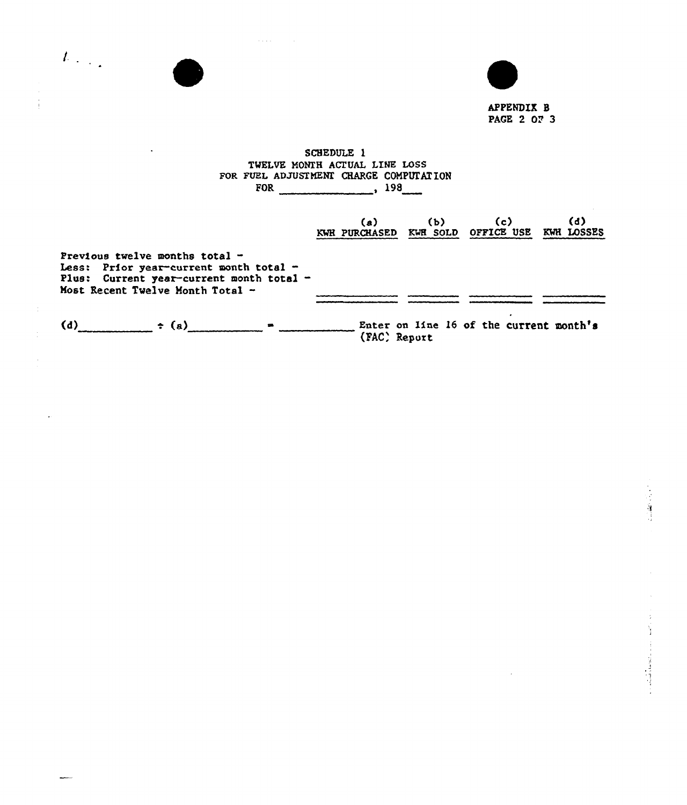

 $\bar{\phantom{a}}$ 



 $\label{eq:2} \mathcal{L} = \mathcal{L} \frac{1}{\sqrt{2}} \mathcal{L} \mathbf{G} \mathbf{G} \mathbf{G} \mathbf{G} + \mathcal{L} \mathcal{L} \mathbf{G} \mathbf{G} + \mathcal{L} \mathbf{G} \mathbf{G} \mathbf{G} \mathbf{G} \mathbf{G} \mathbf{G} \mathbf{G} \mathbf{G} \mathbf{G} \mathbf{G} \mathbf{G} \mathbf{G} \mathbf{G} \mathbf{G} \mathbf{G} \mathbf{G} \mathbf{G} \mathbf{G} \mathbf{G} \mathbf{G} \mathbf{G} \math$ 

# SCHEDULE 1 TWELVE MONTH ACTUAL LINE LOSS<br>FOR FUEL ADJUSTMENT CHARGE COMPUTATION  $FOR$   $198$

 $\sim$  1444  $\sim$  155  $\mu$ 

|                                                                                                                                                                          | (a)<br>KWH PURCHASED KWH SOLD OFFICE USE | (b)          | (c)                                     | (d)<br>KWH LOSSES |
|--------------------------------------------------------------------------------------------------------------------------------------------------------------------------|------------------------------------------|--------------|-----------------------------------------|-------------------|
| Previous twelve months total $\rightarrow$<br>Less: Prior year-current month total $-$<br>Plus: Current year-current month total -<br>Most Recent Twelve Month Total $-$ |                                          |              |                                         |                   |
| (d)<br>$\div$ (a)<br>$\mathbf{m}$                                                                                                                                        |                                          | (FAC) Report | Enter on line 16 of the current month's |                   |